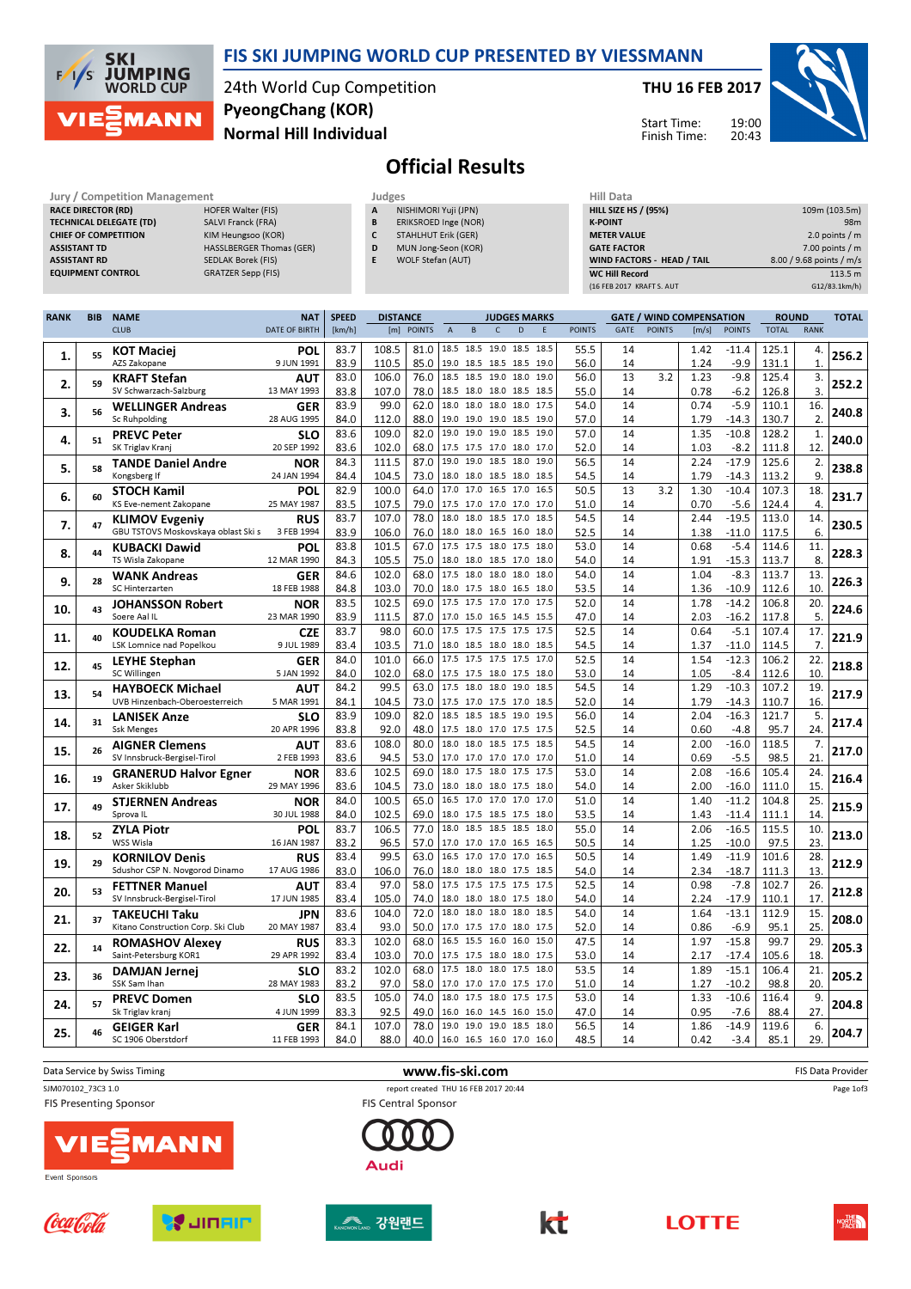

#### FIS SKI JUMPING WORLD CUP PRESENTED BY VIESSMANN

24th World Cup Competition Normal Hill Individual PyeongChang (KOR)

#### THU 16 FEB 2017



Start Time: Finish Time:

## Official Results

| Jury / Competition Management  |                                 | Judges | <b>Hill Data</b>     |                    |
|--------------------------------|---------------------------------|--------|----------------------|--------------------|
| <b>RACE DIRECTOR (RD)</b>      | HOFER Walter (FIS)              | A      | NISHIMORI Yuji (JPN) | <b>HILL SIZE H</b> |
| <b>TECHNICAL DELEGATE (TD)</b> | SALVI Franck (FRA)              | B      | ERIKSROED Inge (NOR) | <b>K-POINT</b>     |
| <b>CHIEF OF COMPETITION</b>    | KIM Heungsoo (KOR)              |        | STAHLHUT Erik (GER)  | <b>METER VAI</b>   |
| <b>ASSISTANT TD</b>            | <b>HASSLBERGER Thomas (GER)</b> | D      | MUN Jong-Seon (KOR)  | <b>GATE FACT</b>   |
| <b>ASSISTANT RD</b>            | SEDLAK Borek (FIS)              |        | WOLF Stefan (AUT)    | <b>WIND FACT</b>   |
| <b>EQUIPMENT CONTROL</b>       | GRATZER Sepp (FIS)              |        |                      | <b>WC Hill Reg</b> |

| Hill Data                         |                          |
|-----------------------------------|--------------------------|
| <b>HILL SIZE HS / (95%)</b>       | 109m (103.5m)            |
| <b>K-POINT</b>                    | 98 <sub>m</sub>          |
| <b>METER VALUE</b>                | 2.0 points $/m$          |
| <b>GATE FACTOR</b>                | $7.00$ points $/m$       |
| <b>WIND FACTORS - HEAD / TAIL</b> | 8.00 / 9.68 points / m/s |
| <b>WC Hill Record</b>             | 113.5 m                  |
| (16 FEB 2017 KRAFT S. AUT         | G12/83.1km/h)            |

| <b>CLUB</b><br>DATE OF BIRTH<br>[m] POINTS<br>$\mathsf{C}$<br>D<br><b>POINTS</b><br>GATE<br><b>POINTS</b><br>[m/s]<br><b>POINTS</b><br><b>TOTAL</b><br><b>RANK</b><br>[km/h]<br>E<br>$\overline{A}$<br>B<br>18.5 18.5 19.0 18.5 18.5<br>83.7<br>108.5<br>81.0<br>55.5<br><b>KOT Maciej</b><br>POL<br>14<br>1.42<br>$-11.4$<br>125.1<br>4.<br>256.2<br>1.<br>55<br>AZS Zakopane<br>9 JUN 1991<br>83.9<br>110.5<br>85.0<br>19.0 18.5 18.5 18.5 19.0<br>1.24<br>$-9.9$<br>131.1<br>$\mathbf{1}$<br>56.0<br>14<br>18.5<br>18.5 19.0 18.0 19.0<br>83.0<br>106.0<br>76.0<br>56.0<br>13<br>3.2<br>$-9.8$<br>125.4<br>3.<br>1.23<br><b>KRAFT Stefan</b><br>AUT<br>252.2<br>2.<br>59<br>3.<br>SV Schwarzach-Salzburg<br>13 MAY 1993<br>83.8<br>107.0<br>78.0<br>18.5 18.0 18.0 18.5 18.5<br>55.0<br>14<br>0.78<br>$-6.2$<br>126.8<br>18.0<br>18.0 18.0 18.0 17.5<br>83.9<br>99.0<br>62.0<br>14<br>0.74<br>$-5.9$<br>16.<br>54.0<br>110.1<br><b>WELLINGER Andreas</b><br><b>GER</b><br>240.8<br>3.<br>56<br>Sc Ruhpolding<br>28 AUG 1995<br>84.0<br>112.0<br>88.0<br>19.0 19.0 19.0 18.5 19.0<br>1.79<br>$-14.3$<br>130.7<br>2.<br>57.0<br>14<br>14<br>$-10.8$<br>$\mathbf{1}$<br>83.6<br>109.0<br>82.0<br>19.0 19.0 19.0 18.5 19.0<br>57.0<br>1.35<br>128.2<br><b>PREVC Peter</b><br><b>SLO</b><br>240.0<br>51<br>4.<br>83.6<br>102.0<br>68.0<br>1.03<br>$-8.2$<br>12.<br>20 SEP 1992<br>52.0<br>14<br>111.8<br>SK Triglav Kranj<br>17.5 17.5 17.0 18.0 17.0<br>$-17.9$<br>84.3<br>111.5<br>87.0<br>19.0<br>19.0 18.5 18.0 19.0<br>56.5<br>14<br>2.24<br>125.6<br>2.<br><b>TANDE Daniel Andre</b><br><b>NOR</b><br>238.8<br>5.<br>58<br>73.0<br>9.<br>Kongsberg If<br>24 JAN 1994<br>84.4<br>104.5<br>18.0 18.0 18.5 18.0 18.5<br>54.5<br>14<br>1.79<br>$-14.3$<br>113.2<br>82.9<br>100.0<br>17.0 16.5 17.0 16.5<br>13<br>$-10.4$<br>18.<br>64.0<br>17.0<br>50.5<br>3.2<br>1.30<br>107.3<br><b>STOCH Kamil</b><br>POL<br>231.7<br>6.<br>60<br>83.5<br>107.5<br>79.0<br>14<br>$-5.6$<br>4.<br>KS Eve-nement Zakopane<br>25 MAY 1987<br>17.5 17.0 17.0 17.0 17.0<br>51.0<br>0.70<br>124.4<br>83.7<br>107.0<br>78.0<br>18.0<br>18.0 18.5 17.0 18.5<br>54.5<br>14<br>2.44<br>$-19.5$<br>113.0<br>14.<br><b>RUS</b><br><b>KLIMOV Evgeniy</b><br>230.5<br>7.<br>47<br>6.<br>GBU TSTOVS Moskovskaya oblast Ski s<br>83.9<br>106.0<br>76.0<br>52.5<br>14<br>1.38<br>$-11.0$<br>117.5<br>3 FEB 1994<br>18.0 18.0 16.5 16.0 18.0<br>83.8<br>101.5<br>67.0<br>17.5<br>17.5 18.0 17.5 18.0<br>53.0<br>14<br>0.68<br>$-5.4$<br>114.6<br>11.<br><b>KUBACKI Dawid</b><br>POL<br>228.3<br>8.<br>44<br>8.<br>TS Wisla Zakopane<br>12 MAR 1990<br>84.3<br>105.5<br>75.0<br>18.0 18.0 18.5 17.0 18.0<br>54.0<br>14<br>1.91<br>$-15.3$<br>113.7<br>18.0 18.0 18.0<br>17.5<br>18.0<br>14<br>84.6<br>102.0<br>68.0<br>54.0<br>1.04<br>$-8.3$<br>113.7<br>13.<br><b>WANK Andreas</b><br><b>GER</b><br>226.3<br>9.<br>28<br>SC Hinterzarten<br>18 FEB 1988<br>84.8<br>70.0<br>18.0 17.5 18.0 16.5 18.0<br>10.<br>103.0<br>53.5<br>14<br>1.36<br>$-10.9$<br>112.6<br>17.5 17.5 17.0 17.0 17.5<br>83.5<br>102.5<br>69.0<br>52.0<br>14<br>1.78<br>$-14.2$<br>106.8<br>20.<br><b>JOHANSSON Robert</b><br>NOR<br>224.6<br>10.<br>43<br>Soere Aal IL<br>23 MAR 1990<br>83.9<br>111.5<br>87.0<br>17.0 15.0 16.5 14.5 15.5<br>47.0<br>14<br>2.03<br>$-16.2$<br>117.8<br>5.<br>98.0<br>17.5 17.5 17.5 17.5 17.5<br>52.5<br>14<br>$-5.1$<br>17.<br>83.7<br>60.0<br>0.64<br>107.4<br><b>KOUDELKA Roman</b><br><b>CZE</b><br>40<br>221.9<br>11.<br>9 JUL 1989<br>83.4<br>103.5<br>71.0<br>14<br>1.37<br>114.5<br>7.<br>LSK Lomnice nad Popelkou<br>18.0 18.5 18.0 18.0 18.5<br>54.5<br>$-11.0$<br>84.0<br>101.0<br>66.0<br>17.5<br>17.5 17.5 17.5 17.0<br>52.5<br>14<br>1.54<br>$-12.3$<br>106.2<br>22.<br><b>LEYHE Stephan</b><br><b>GER</b><br>45<br>218.8<br>12.<br>84.0<br>68.0<br>$-8.4$<br>10<br>102.0<br>53.0<br>14<br>1.05<br>112.6<br>SC Willingen<br>5 JAN 1992<br>17.5 17.5 18.0 17.5 18.0<br>84.2<br>99.5<br>63.0<br>17.5 18.0 18.0 19.0 18.5<br>54.5<br>14<br>1.29<br>$-10.3$<br>107.2<br>19.<br><b>HAYBOECK Michael</b><br><b>AUT</b><br>217.9<br>13.<br>54<br>UVB Hinzenbach-Oberoesterreich<br>84.1<br>104.5<br>73.0<br>14<br>1.79<br>$-14.3$<br>110.7<br>16.<br>5 MAR 1991<br>17.5 17.0 17.5 17.0 18.5<br>52.0<br>83.9<br>109.0<br>82.0<br>18.5<br>18.5 18.5 19.0 19.5<br>56.0<br>14<br>2.04<br>$-16.3$<br>121.7<br>5.<br><b>SLO</b><br><b>LANISEK Anze</b><br>217.4<br>14.<br>31<br>83.8<br>92.0<br>95.7<br>24.<br><b>Ssk Menges</b><br>20 APR 1996<br>48.0<br>17.5 18.0 17.0 17.5 17.5<br>52.5<br>14<br>0.60<br>$-4.8$<br>$-16.0$<br>83.6<br>108.0<br>80.0<br>18.0<br>18.0 18.5 17.5 18.5<br>54.5<br>14<br>2.00<br>118.5<br>7.<br><b>AIGNER Clemens</b><br>AUT<br>217.0<br>15.<br>26<br>SV Innsbruck-Bergisel-Tirol<br>2 FEB 1993<br>83.6<br>94.5<br>53.0<br>17.0 17.0 17.0 17.0 17.0<br>51.0<br>14<br>0.69<br>$-5.5$<br>98.5<br>21<br>18.0<br>17.5 18.0 17.5 17.5<br>69.0<br>14<br>$-16.6$<br>83.6<br>102.5<br>53.0<br>2.08<br>105.4<br>24.<br><b>NOR</b><br><b>GRANERUD Halvor Egner</b><br>216.4<br>19<br>16.<br>Asker Skiklubb<br>29 MAY 1996<br>83.6<br>104.5<br>73.0<br>18.0 18.0 18.0 17.5 18.0<br>14<br>2.00<br>$-16.0$<br>111.0<br>15.<br>54.0<br>16.5 17.0 17.0 17.0 17.0<br>51.0<br>14<br>$-11.2$<br>25.<br>84.0<br>100.5<br>65.0<br>1.40<br>104.8<br><b>STJERNEN Andreas</b><br><b>NOR</b><br>215.9<br>49<br>17.<br>102.5<br>69.0<br>14<br>Sprova <sub>IL</sub><br>30 JUL 1988<br>84.0<br>18.0 17.5 18.5 17.5 18.0<br>53.5<br>14<br>1.43<br>$-11.4$<br>111.1<br>83.7<br>106.5<br>77.0<br>18.0 18.5 18.5 18.5 18.0<br>55.0<br>14<br>2.06<br>$-16.5$<br>115.5<br>10.<br><b>ZYLA Piotr</b><br>POL<br>213.0<br>18.<br>52<br>WSS Wisla<br>16 JAN 1987<br>83.2<br>96.5<br>57.0<br>50.5<br>14<br>1.25<br>$-10.0$<br>97.5<br>23.<br>17.0 17.0 17.0 16.5 16.5<br>99.5<br>17.0 17.0 17.0 16.5<br>83.4<br>63.0<br>16.5<br>50.5<br>14<br>1.49<br>$-11.9$<br>101.6<br>28.<br><b>RUS</b><br><b>KORNILOV Denis</b><br>212.9<br>19.<br>29<br>83.0<br>106.0<br>14<br>$-18.7$<br>13.<br>Sdushor CSP N. Novgorod Dinamo<br>17 AUG 1986<br>76.0<br>18.0 18.0 18.0 17.5 18.5<br>54.0<br>2.34<br>111.3<br>83.4<br>97.0<br>58.0<br>17.5 17.5 17.5 17.5 17.5<br>52.5<br>14<br>0.98<br>$-7.8$<br>102.7<br>26.<br><b>FETTNER Manuel</b><br>AUT<br>212.8<br>20.<br>53<br>17<br>SV Innsbruck-Bergisel-Tirol<br>17 JUN 1985<br>83.4<br>105.0<br>74.0<br>18.0 18.0 18.0 17.5 18.0<br>54.0<br>14<br>2.24<br>$-17.9$<br>110.1<br>104.0<br>72.0<br>18.0<br>18.0 18.0 18.0 18.5<br>$-13.1$<br>112.9<br>83.6<br>54.0<br>14<br>1.64<br>15.<br><b>TAKEUCHI Taku</b><br><b>JPN</b><br>208.0<br>21.<br>37<br>25<br>Kitano Construction Corp. Ski Club<br>20 MAY 1987<br>83.4<br>93.0<br>50.0<br>17.0 17.5 17.0 18.0 17.5<br>52.0<br>14<br>0.86<br>$-6.9$<br>95.1<br>16.5<br>15.5 16.0 16.0 15.0<br>14<br>$-15.8$<br>83.3<br>102.0<br>68.0<br>47.5<br>1.97<br>99.7<br>29.<br><b>RUS</b><br><b>ROMASHOV Alexey</b><br>205.3<br>22.<br>14<br>Saint-Petersburg KOR1<br>70.0<br>$-17.4$<br>18.<br>29 APR 1992<br>83.4<br>103.0<br>17.5 17.5 18.0 18.0 17.5<br>53.0<br>14<br>2.17<br>105.6<br>17.5 18.0 18.0 17.5 18.0<br>83.2<br>102.0<br>68.0<br>53.5<br>14<br>1.89<br>$-15.1$<br>106.4<br>21.<br><b>DAMJAN Jernej</b><br><b>SLO</b><br>205.2<br>23.<br>36<br>SSK Sam Ihan<br>28 MAY 1983<br>83.2<br>97.0<br>58.0<br>17.0 17.0 17.0 17.5 17.0<br>51.0<br>14<br>1.27<br>$-10.2$<br>98.8<br>20.<br>83.5<br>105.0<br>14<br>$-10.6$<br>9.<br>74.0<br>18.0<br>17.5 18.0 17.5 17.5<br>53.0<br>1.33<br>116.4<br><b>PREVC Domen</b><br><b>SLO</b><br>57<br>204.8<br>24.<br>83.3<br>92.5<br>49.0<br>0.95<br>$-7.6$<br>88.4<br>27.<br>4 JUN 1999<br>47.0<br>14<br>Sk Triglav kranj<br>16.0 16.0 14.5 16.0 15.0<br>84.1<br>107.0<br>78.0<br>19.0<br>19.0 19.0 18.5<br>14<br>1.86<br>$-14.9$<br>119.6<br>6.<br>18.0<br>56.5<br><b>GEIGER Karl</b><br>GER<br>204.7<br>25.<br>46<br>11 FEB 1993<br>84.0<br>88.0<br>40.0<br>16.0 16.5 16.0 17.0 16.0<br>0.42<br>$-3.4$<br>85.1<br>29.<br>SC 1906 Oberstdorf<br>48.5<br>14 | <b>RANK</b> | <b>BIB</b> | <b>NAME</b> | <b>NAT</b> | <b>SPEED</b> | <b>DISTANCE</b> |  |  | <b>JUDGES MARKS</b> |  |  | <b>GATE / WIND COMPENSATION</b> | <b>ROUND</b> | <b>TOTAL</b> |
|---------------------------------------------------------------------------------------------------------------------------------------------------------------------------------------------------------------------------------------------------------------------------------------------------------------------------------------------------------------------------------------------------------------------------------------------------------------------------------------------------------------------------------------------------------------------------------------------------------------------------------------------------------------------------------------------------------------------------------------------------------------------------------------------------------------------------------------------------------------------------------------------------------------------------------------------------------------------------------------------------------------------------------------------------------------------------------------------------------------------------------------------------------------------------------------------------------------------------------------------------------------------------------------------------------------------------------------------------------------------------------------------------------------------------------------------------------------------------------------------------------------------------------------------------------------------------------------------------------------------------------------------------------------------------------------------------------------------------------------------------------------------------------------------------------------------------------------------------------------------------------------------------------------------------------------------------------------------------------------------------------------------------------------------------------------------------------------------------------------------------------------------------------------------------------------------------------------------------------------------------------------------------------------------------------------------------------------------------------------------------------------------------------------------------------------------------------------------------------------------------------------------------------------------------------------------------------------------------------------------------------------------------------------------------------------------------------------------------------------------------------------------------------------------------------------------------------------------------------------------------------------------------------------------------------------------------------------------------------------------------------------------------------------------------------------------------------------------------------------------------------------------------------------------------------------------------------------------------------------------------------------------------------------------------------------------------------------------------------------------------------------------------------------------------------------------------------------------------------------------------------------------------------------------------------------------------------------------------------------------------------------------------------------------------------------------------------------------------------------------------------------------------------------------------------------------------------------------------------------------------------------------------------------------------------------------------------------------------------------------------------------------------------------------------------------------------------------------------------------------------------------------------------------------------------------------------------------------------------------------------------------------------------------------------------------------------------------------------------------------------------------------------------------------------------------------------------------------------------------------------------------------------------------------------------------------------------------------------------------------------------------------------------------------------------------------------------------------------------------------------------------------------------------------------------------------------------------------------------------------------------------------------------------------------------------------------------------------------------------------------------------------------------------------------------------------------------------------------------------------------------------------------------------------------------------------------------------------------------------------------------------------------------------------------------------------------------------------------------------------------------------------------------------------------------------------------------------------------------------------------------------------------------------------------------------------------------------------------------------------------------------------------------------------------------------------------------------------------------------------------------------------------------------------------------------------------------------------------------------------------------------------------------------------------------------------------------------------------------------------------------------------------------------------------------------------------------------------------------------------------------------------------------------------------------------------------------------------------------------------------------------------------------------------------------------------------------------------------------------------------------------------------------------------------------------------------------------------------------------------------------------------------------------------------------------------------------------------------------------------------------------------------------------------------------------------------------------------------------------------------------------------------------------------------------------------------------------------------------------------------------------------------------------------------------------------------------------------------------------------------------------------------------------------------------------------------------------------------------------------------------------------------------------------------------------------------------------------------------------------------------------------------------------------------------------------------------------------------------------------------------------------------------------------------------------------------------------------------------------------------------------------------------------------------------------------------------------------------------------------------------------------------------------------------------------------------------------------------------------------------------------------------------------------------------------------------------------------------------------------------------------------------------------------------------------------------------------------------------------------------------------------------------------------------|-------------|------------|-------------|------------|--------------|-----------------|--|--|---------------------|--|--|---------------------------------|--------------|--------------|
|                                                                                                                                                                                                                                                                                                                                                                                                                                                                                                                                                                                                                                                                                                                                                                                                                                                                                                                                                                                                                                                                                                                                                                                                                                                                                                                                                                                                                                                                                                                                                                                                                                                                                                                                                                                                                                                                                                                                                                                                                                                                                                                                                                                                                                                                                                                                                                                                                                                                                                                                                                                                                                                                                                                                                                                                                                                                                                                                                                                                                                                                                                                                                                                                                                                                                                                                                                                                                                                                                                                                                                                                                                                                                                                                                                                                                                                                                                                                                                                                                                                                                                                                                                                                                                                                                                                                                                                                                                                                                                                                                                                                                                                                                                                                                                                                                                                                                                                                                                                                                                                                                                                                                                                                                                                                                                                                                                                                                                                                                                                                                                                                                                                                                                                                                                                                                                                                                                                                                                                                                                                                                                                                                                                                                                                                                                                                                                                                                                                                                                                                                                                                                                                                                                                                                                                                                                                                                                                                                                                                                                                                                                                                                                                                                                                                                                                                                                                                                                                                                                                                                                                                                                                                                                                                                                                                                                                                                                                                                                                                                                                   |             |            |             |            |              |                 |  |  |                     |  |  |                                 |              |              |
|                                                                                                                                                                                                                                                                                                                                                                                                                                                                                                                                                                                                                                                                                                                                                                                                                                                                                                                                                                                                                                                                                                                                                                                                                                                                                                                                                                                                                                                                                                                                                                                                                                                                                                                                                                                                                                                                                                                                                                                                                                                                                                                                                                                                                                                                                                                                                                                                                                                                                                                                                                                                                                                                                                                                                                                                                                                                                                                                                                                                                                                                                                                                                                                                                                                                                                                                                                                                                                                                                                                                                                                                                                                                                                                                                                                                                                                                                                                                                                                                                                                                                                                                                                                                                                                                                                                                                                                                                                                                                                                                                                                                                                                                                                                                                                                                                                                                                                                                                                                                                                                                                                                                                                                                                                                                                                                                                                                                                                                                                                                                                                                                                                                                                                                                                                                                                                                                                                                                                                                                                                                                                                                                                                                                                                                                                                                                                                                                                                                                                                                                                                                                                                                                                                                                                                                                                                                                                                                                                                                                                                                                                                                                                                                                                                                                                                                                                                                                                                                                                                                                                                                                                                                                                                                                                                                                                                                                                                                                                                                                                                                   |             |            |             |            |              |                 |  |  |                     |  |  |                                 |              |              |
|                                                                                                                                                                                                                                                                                                                                                                                                                                                                                                                                                                                                                                                                                                                                                                                                                                                                                                                                                                                                                                                                                                                                                                                                                                                                                                                                                                                                                                                                                                                                                                                                                                                                                                                                                                                                                                                                                                                                                                                                                                                                                                                                                                                                                                                                                                                                                                                                                                                                                                                                                                                                                                                                                                                                                                                                                                                                                                                                                                                                                                                                                                                                                                                                                                                                                                                                                                                                                                                                                                                                                                                                                                                                                                                                                                                                                                                                                                                                                                                                                                                                                                                                                                                                                                                                                                                                                                                                                                                                                                                                                                                                                                                                                                                                                                                                                                                                                                                                                                                                                                                                                                                                                                                                                                                                                                                                                                                                                                                                                                                                                                                                                                                                                                                                                                                                                                                                                                                                                                                                                                                                                                                                                                                                                                                                                                                                                                                                                                                                                                                                                                                                                                                                                                                                                                                                                                                                                                                                                                                                                                                                                                                                                                                                                                                                                                                                                                                                                                                                                                                                                                                                                                                                                                                                                                                                                                                                                                                                                                                                                                                   |             |            |             |            |              |                 |  |  |                     |  |  |                                 |              |              |
|                                                                                                                                                                                                                                                                                                                                                                                                                                                                                                                                                                                                                                                                                                                                                                                                                                                                                                                                                                                                                                                                                                                                                                                                                                                                                                                                                                                                                                                                                                                                                                                                                                                                                                                                                                                                                                                                                                                                                                                                                                                                                                                                                                                                                                                                                                                                                                                                                                                                                                                                                                                                                                                                                                                                                                                                                                                                                                                                                                                                                                                                                                                                                                                                                                                                                                                                                                                                                                                                                                                                                                                                                                                                                                                                                                                                                                                                                                                                                                                                                                                                                                                                                                                                                                                                                                                                                                                                                                                                                                                                                                                                                                                                                                                                                                                                                                                                                                                                                                                                                                                                                                                                                                                                                                                                                                                                                                                                                                                                                                                                                                                                                                                                                                                                                                                                                                                                                                                                                                                                                                                                                                                                                                                                                                                                                                                                                                                                                                                                                                                                                                                                                                                                                                                                                                                                                                                                                                                                                                                                                                                                                                                                                                                                                                                                                                                                                                                                                                                                                                                                                                                                                                                                                                                                                                                                                                                                                                                                                                                                                                                   |             |            |             |            |              |                 |  |  |                     |  |  |                                 |              |              |
|                                                                                                                                                                                                                                                                                                                                                                                                                                                                                                                                                                                                                                                                                                                                                                                                                                                                                                                                                                                                                                                                                                                                                                                                                                                                                                                                                                                                                                                                                                                                                                                                                                                                                                                                                                                                                                                                                                                                                                                                                                                                                                                                                                                                                                                                                                                                                                                                                                                                                                                                                                                                                                                                                                                                                                                                                                                                                                                                                                                                                                                                                                                                                                                                                                                                                                                                                                                                                                                                                                                                                                                                                                                                                                                                                                                                                                                                                                                                                                                                                                                                                                                                                                                                                                                                                                                                                                                                                                                                                                                                                                                                                                                                                                                                                                                                                                                                                                                                                                                                                                                                                                                                                                                                                                                                                                                                                                                                                                                                                                                                                                                                                                                                                                                                                                                                                                                                                                                                                                                                                                                                                                                                                                                                                                                                                                                                                                                                                                                                                                                                                                                                                                                                                                                                                                                                                                                                                                                                                                                                                                                                                                                                                                                                                                                                                                                                                                                                                                                                                                                                                                                                                                                                                                                                                                                                                                                                                                                                                                                                                                                   |             |            |             |            |              |                 |  |  |                     |  |  |                                 |              |              |
|                                                                                                                                                                                                                                                                                                                                                                                                                                                                                                                                                                                                                                                                                                                                                                                                                                                                                                                                                                                                                                                                                                                                                                                                                                                                                                                                                                                                                                                                                                                                                                                                                                                                                                                                                                                                                                                                                                                                                                                                                                                                                                                                                                                                                                                                                                                                                                                                                                                                                                                                                                                                                                                                                                                                                                                                                                                                                                                                                                                                                                                                                                                                                                                                                                                                                                                                                                                                                                                                                                                                                                                                                                                                                                                                                                                                                                                                                                                                                                                                                                                                                                                                                                                                                                                                                                                                                                                                                                                                                                                                                                                                                                                                                                                                                                                                                                                                                                                                                                                                                                                                                                                                                                                                                                                                                                                                                                                                                                                                                                                                                                                                                                                                                                                                                                                                                                                                                                                                                                                                                                                                                                                                                                                                                                                                                                                                                                                                                                                                                                                                                                                                                                                                                                                                                                                                                                                                                                                                                                                                                                                                                                                                                                                                                                                                                                                                                                                                                                                                                                                                                                                                                                                                                                                                                                                                                                                                                                                                                                                                                                                   |             |            |             |            |              |                 |  |  |                     |  |  |                                 |              |              |
|                                                                                                                                                                                                                                                                                                                                                                                                                                                                                                                                                                                                                                                                                                                                                                                                                                                                                                                                                                                                                                                                                                                                                                                                                                                                                                                                                                                                                                                                                                                                                                                                                                                                                                                                                                                                                                                                                                                                                                                                                                                                                                                                                                                                                                                                                                                                                                                                                                                                                                                                                                                                                                                                                                                                                                                                                                                                                                                                                                                                                                                                                                                                                                                                                                                                                                                                                                                                                                                                                                                                                                                                                                                                                                                                                                                                                                                                                                                                                                                                                                                                                                                                                                                                                                                                                                                                                                                                                                                                                                                                                                                                                                                                                                                                                                                                                                                                                                                                                                                                                                                                                                                                                                                                                                                                                                                                                                                                                                                                                                                                                                                                                                                                                                                                                                                                                                                                                                                                                                                                                                                                                                                                                                                                                                                                                                                                                                                                                                                                                                                                                                                                                                                                                                                                                                                                                                                                                                                                                                                                                                                                                                                                                                                                                                                                                                                                                                                                                                                                                                                                                                                                                                                                                                                                                                                                                                                                                                                                                                                                                                                   |             |            |             |            |              |                 |  |  |                     |  |  |                                 |              |              |
|                                                                                                                                                                                                                                                                                                                                                                                                                                                                                                                                                                                                                                                                                                                                                                                                                                                                                                                                                                                                                                                                                                                                                                                                                                                                                                                                                                                                                                                                                                                                                                                                                                                                                                                                                                                                                                                                                                                                                                                                                                                                                                                                                                                                                                                                                                                                                                                                                                                                                                                                                                                                                                                                                                                                                                                                                                                                                                                                                                                                                                                                                                                                                                                                                                                                                                                                                                                                                                                                                                                                                                                                                                                                                                                                                                                                                                                                                                                                                                                                                                                                                                                                                                                                                                                                                                                                                                                                                                                                                                                                                                                                                                                                                                                                                                                                                                                                                                                                                                                                                                                                                                                                                                                                                                                                                                                                                                                                                                                                                                                                                                                                                                                                                                                                                                                                                                                                                                                                                                                                                                                                                                                                                                                                                                                                                                                                                                                                                                                                                                                                                                                                                                                                                                                                                                                                                                                                                                                                                                                                                                                                                                                                                                                                                                                                                                                                                                                                                                                                                                                                                                                                                                                                                                                                                                                                                                                                                                                                                                                                                                                   |             |            |             |            |              |                 |  |  |                     |  |  |                                 |              |              |
|                                                                                                                                                                                                                                                                                                                                                                                                                                                                                                                                                                                                                                                                                                                                                                                                                                                                                                                                                                                                                                                                                                                                                                                                                                                                                                                                                                                                                                                                                                                                                                                                                                                                                                                                                                                                                                                                                                                                                                                                                                                                                                                                                                                                                                                                                                                                                                                                                                                                                                                                                                                                                                                                                                                                                                                                                                                                                                                                                                                                                                                                                                                                                                                                                                                                                                                                                                                                                                                                                                                                                                                                                                                                                                                                                                                                                                                                                                                                                                                                                                                                                                                                                                                                                                                                                                                                                                                                                                                                                                                                                                                                                                                                                                                                                                                                                                                                                                                                                                                                                                                                                                                                                                                                                                                                                                                                                                                                                                                                                                                                                                                                                                                                                                                                                                                                                                                                                                                                                                                                                                                                                                                                                                                                                                                                                                                                                                                                                                                                                                                                                                                                                                                                                                                                                                                                                                                                                                                                                                                                                                                                                                                                                                                                                                                                                                                                                                                                                                                                                                                                                                                                                                                                                                                                                                                                                                                                                                                                                                                                                                                   |             |            |             |            |              |                 |  |  |                     |  |  |                                 |              |              |
|                                                                                                                                                                                                                                                                                                                                                                                                                                                                                                                                                                                                                                                                                                                                                                                                                                                                                                                                                                                                                                                                                                                                                                                                                                                                                                                                                                                                                                                                                                                                                                                                                                                                                                                                                                                                                                                                                                                                                                                                                                                                                                                                                                                                                                                                                                                                                                                                                                                                                                                                                                                                                                                                                                                                                                                                                                                                                                                                                                                                                                                                                                                                                                                                                                                                                                                                                                                                                                                                                                                                                                                                                                                                                                                                                                                                                                                                                                                                                                                                                                                                                                                                                                                                                                                                                                                                                                                                                                                                                                                                                                                                                                                                                                                                                                                                                                                                                                                                                                                                                                                                                                                                                                                                                                                                                                                                                                                                                                                                                                                                                                                                                                                                                                                                                                                                                                                                                                                                                                                                                                                                                                                                                                                                                                                                                                                                                                                                                                                                                                                                                                                                                                                                                                                                                                                                                                                                                                                                                                                                                                                                                                                                                                                                                                                                                                                                                                                                                                                                                                                                                                                                                                                                                                                                                                                                                                                                                                                                                                                                                                                   |             |            |             |            |              |                 |  |  |                     |  |  |                                 |              |              |
|                                                                                                                                                                                                                                                                                                                                                                                                                                                                                                                                                                                                                                                                                                                                                                                                                                                                                                                                                                                                                                                                                                                                                                                                                                                                                                                                                                                                                                                                                                                                                                                                                                                                                                                                                                                                                                                                                                                                                                                                                                                                                                                                                                                                                                                                                                                                                                                                                                                                                                                                                                                                                                                                                                                                                                                                                                                                                                                                                                                                                                                                                                                                                                                                                                                                                                                                                                                                                                                                                                                                                                                                                                                                                                                                                                                                                                                                                                                                                                                                                                                                                                                                                                                                                                                                                                                                                                                                                                                                                                                                                                                                                                                                                                                                                                                                                                                                                                                                                                                                                                                                                                                                                                                                                                                                                                                                                                                                                                                                                                                                                                                                                                                                                                                                                                                                                                                                                                                                                                                                                                                                                                                                                                                                                                                                                                                                                                                                                                                                                                                                                                                                                                                                                                                                                                                                                                                                                                                                                                                                                                                                                                                                                                                                                                                                                                                                                                                                                                                                                                                                                                                                                                                                                                                                                                                                                                                                                                                                                                                                                                                   |             |            |             |            |              |                 |  |  |                     |  |  |                                 |              |              |
|                                                                                                                                                                                                                                                                                                                                                                                                                                                                                                                                                                                                                                                                                                                                                                                                                                                                                                                                                                                                                                                                                                                                                                                                                                                                                                                                                                                                                                                                                                                                                                                                                                                                                                                                                                                                                                                                                                                                                                                                                                                                                                                                                                                                                                                                                                                                                                                                                                                                                                                                                                                                                                                                                                                                                                                                                                                                                                                                                                                                                                                                                                                                                                                                                                                                                                                                                                                                                                                                                                                                                                                                                                                                                                                                                                                                                                                                                                                                                                                                                                                                                                                                                                                                                                                                                                                                                                                                                                                                                                                                                                                                                                                                                                                                                                                                                                                                                                                                                                                                                                                                                                                                                                                                                                                                                                                                                                                                                                                                                                                                                                                                                                                                                                                                                                                                                                                                                                                                                                                                                                                                                                                                                                                                                                                                                                                                                                                                                                                                                                                                                                                                                                                                                                                                                                                                                                                                                                                                                                                                                                                                                                                                                                                                                                                                                                                                                                                                                                                                                                                                                                                                                                                                                                                                                                                                                                                                                                                                                                                                                                                   |             |            |             |            |              |                 |  |  |                     |  |  |                                 |              |              |
|                                                                                                                                                                                                                                                                                                                                                                                                                                                                                                                                                                                                                                                                                                                                                                                                                                                                                                                                                                                                                                                                                                                                                                                                                                                                                                                                                                                                                                                                                                                                                                                                                                                                                                                                                                                                                                                                                                                                                                                                                                                                                                                                                                                                                                                                                                                                                                                                                                                                                                                                                                                                                                                                                                                                                                                                                                                                                                                                                                                                                                                                                                                                                                                                                                                                                                                                                                                                                                                                                                                                                                                                                                                                                                                                                                                                                                                                                                                                                                                                                                                                                                                                                                                                                                                                                                                                                                                                                                                                                                                                                                                                                                                                                                                                                                                                                                                                                                                                                                                                                                                                                                                                                                                                                                                                                                                                                                                                                                                                                                                                                                                                                                                                                                                                                                                                                                                                                                                                                                                                                                                                                                                                                                                                                                                                                                                                                                                                                                                                                                                                                                                                                                                                                                                                                                                                                                                                                                                                                                                                                                                                                                                                                                                                                                                                                                                                                                                                                                                                                                                                                                                                                                                                                                                                                                                                                                                                                                                                                                                                                                                   |             |            |             |            |              |                 |  |  |                     |  |  |                                 |              |              |
|                                                                                                                                                                                                                                                                                                                                                                                                                                                                                                                                                                                                                                                                                                                                                                                                                                                                                                                                                                                                                                                                                                                                                                                                                                                                                                                                                                                                                                                                                                                                                                                                                                                                                                                                                                                                                                                                                                                                                                                                                                                                                                                                                                                                                                                                                                                                                                                                                                                                                                                                                                                                                                                                                                                                                                                                                                                                                                                                                                                                                                                                                                                                                                                                                                                                                                                                                                                                                                                                                                                                                                                                                                                                                                                                                                                                                                                                                                                                                                                                                                                                                                                                                                                                                                                                                                                                                                                                                                                                                                                                                                                                                                                                                                                                                                                                                                                                                                                                                                                                                                                                                                                                                                                                                                                                                                                                                                                                                                                                                                                                                                                                                                                                                                                                                                                                                                                                                                                                                                                                                                                                                                                                                                                                                                                                                                                                                                                                                                                                                                                                                                                                                                                                                                                                                                                                                                                                                                                                                                                                                                                                                                                                                                                                                                                                                                                                                                                                                                                                                                                                                                                                                                                                                                                                                                                                                                                                                                                                                                                                                                                   |             |            |             |            |              |                 |  |  |                     |  |  |                                 |              |              |
|                                                                                                                                                                                                                                                                                                                                                                                                                                                                                                                                                                                                                                                                                                                                                                                                                                                                                                                                                                                                                                                                                                                                                                                                                                                                                                                                                                                                                                                                                                                                                                                                                                                                                                                                                                                                                                                                                                                                                                                                                                                                                                                                                                                                                                                                                                                                                                                                                                                                                                                                                                                                                                                                                                                                                                                                                                                                                                                                                                                                                                                                                                                                                                                                                                                                                                                                                                                                                                                                                                                                                                                                                                                                                                                                                                                                                                                                                                                                                                                                                                                                                                                                                                                                                                                                                                                                                                                                                                                                                                                                                                                                                                                                                                                                                                                                                                                                                                                                                                                                                                                                                                                                                                                                                                                                                                                                                                                                                                                                                                                                                                                                                                                                                                                                                                                                                                                                                                                                                                                                                                                                                                                                                                                                                                                                                                                                                                                                                                                                                                                                                                                                                                                                                                                                                                                                                                                                                                                                                                                                                                                                                                                                                                                                                                                                                                                                                                                                                                                                                                                                                                                                                                                                                                                                                                                                                                                                                                                                                                                                                                                   |             |            |             |            |              |                 |  |  |                     |  |  |                                 |              |              |
|                                                                                                                                                                                                                                                                                                                                                                                                                                                                                                                                                                                                                                                                                                                                                                                                                                                                                                                                                                                                                                                                                                                                                                                                                                                                                                                                                                                                                                                                                                                                                                                                                                                                                                                                                                                                                                                                                                                                                                                                                                                                                                                                                                                                                                                                                                                                                                                                                                                                                                                                                                                                                                                                                                                                                                                                                                                                                                                                                                                                                                                                                                                                                                                                                                                                                                                                                                                                                                                                                                                                                                                                                                                                                                                                                                                                                                                                                                                                                                                                                                                                                                                                                                                                                                                                                                                                                                                                                                                                                                                                                                                                                                                                                                                                                                                                                                                                                                                                                                                                                                                                                                                                                                                                                                                                                                                                                                                                                                                                                                                                                                                                                                                                                                                                                                                                                                                                                                                                                                                                                                                                                                                                                                                                                                                                                                                                                                                                                                                                                                                                                                                                                                                                                                                                                                                                                                                                                                                                                                                                                                                                                                                                                                                                                                                                                                                                                                                                                                                                                                                                                                                                                                                                                                                                                                                                                                                                                                                                                                                                                                                   |             |            |             |            |              |                 |  |  |                     |  |  |                                 |              |              |
|                                                                                                                                                                                                                                                                                                                                                                                                                                                                                                                                                                                                                                                                                                                                                                                                                                                                                                                                                                                                                                                                                                                                                                                                                                                                                                                                                                                                                                                                                                                                                                                                                                                                                                                                                                                                                                                                                                                                                                                                                                                                                                                                                                                                                                                                                                                                                                                                                                                                                                                                                                                                                                                                                                                                                                                                                                                                                                                                                                                                                                                                                                                                                                                                                                                                                                                                                                                                                                                                                                                                                                                                                                                                                                                                                                                                                                                                                                                                                                                                                                                                                                                                                                                                                                                                                                                                                                                                                                                                                                                                                                                                                                                                                                                                                                                                                                                                                                                                                                                                                                                                                                                                                                                                                                                                                                                                                                                                                                                                                                                                                                                                                                                                                                                                                                                                                                                                                                                                                                                                                                                                                                                                                                                                                                                                                                                                                                                                                                                                                                                                                                                                                                                                                                                                                                                                                                                                                                                                                                                                                                                                                                                                                                                                                                                                                                                                                                                                                                                                                                                                                                                                                                                                                                                                                                                                                                                                                                                                                                                                                                                   |             |            |             |            |              |                 |  |  |                     |  |  |                                 |              |              |
|                                                                                                                                                                                                                                                                                                                                                                                                                                                                                                                                                                                                                                                                                                                                                                                                                                                                                                                                                                                                                                                                                                                                                                                                                                                                                                                                                                                                                                                                                                                                                                                                                                                                                                                                                                                                                                                                                                                                                                                                                                                                                                                                                                                                                                                                                                                                                                                                                                                                                                                                                                                                                                                                                                                                                                                                                                                                                                                                                                                                                                                                                                                                                                                                                                                                                                                                                                                                                                                                                                                                                                                                                                                                                                                                                                                                                                                                                                                                                                                                                                                                                                                                                                                                                                                                                                                                                                                                                                                                                                                                                                                                                                                                                                                                                                                                                                                                                                                                                                                                                                                                                                                                                                                                                                                                                                                                                                                                                                                                                                                                                                                                                                                                                                                                                                                                                                                                                                                                                                                                                                                                                                                                                                                                                                                                                                                                                                                                                                                                                                                                                                                                                                                                                                                                                                                                                                                                                                                                                                                                                                                                                                                                                                                                                                                                                                                                                                                                                                                                                                                                                                                                                                                                                                                                                                                                                                                                                                                                                                                                                                                   |             |            |             |            |              |                 |  |  |                     |  |  |                                 |              |              |
|                                                                                                                                                                                                                                                                                                                                                                                                                                                                                                                                                                                                                                                                                                                                                                                                                                                                                                                                                                                                                                                                                                                                                                                                                                                                                                                                                                                                                                                                                                                                                                                                                                                                                                                                                                                                                                                                                                                                                                                                                                                                                                                                                                                                                                                                                                                                                                                                                                                                                                                                                                                                                                                                                                                                                                                                                                                                                                                                                                                                                                                                                                                                                                                                                                                                                                                                                                                                                                                                                                                                                                                                                                                                                                                                                                                                                                                                                                                                                                                                                                                                                                                                                                                                                                                                                                                                                                                                                                                                                                                                                                                                                                                                                                                                                                                                                                                                                                                                                                                                                                                                                                                                                                                                                                                                                                                                                                                                                                                                                                                                                                                                                                                                                                                                                                                                                                                                                                                                                                                                                                                                                                                                                                                                                                                                                                                                                                                                                                                                                                                                                                                                                                                                                                                                                                                                                                                                                                                                                                                                                                                                                                                                                                                                                                                                                                                                                                                                                                                                                                                                                                                                                                                                                                                                                                                                                                                                                                                                                                                                                                                   |             |            |             |            |              |                 |  |  |                     |  |  |                                 |              |              |
|                                                                                                                                                                                                                                                                                                                                                                                                                                                                                                                                                                                                                                                                                                                                                                                                                                                                                                                                                                                                                                                                                                                                                                                                                                                                                                                                                                                                                                                                                                                                                                                                                                                                                                                                                                                                                                                                                                                                                                                                                                                                                                                                                                                                                                                                                                                                                                                                                                                                                                                                                                                                                                                                                                                                                                                                                                                                                                                                                                                                                                                                                                                                                                                                                                                                                                                                                                                                                                                                                                                                                                                                                                                                                                                                                                                                                                                                                                                                                                                                                                                                                                                                                                                                                                                                                                                                                                                                                                                                                                                                                                                                                                                                                                                                                                                                                                                                                                                                                                                                                                                                                                                                                                                                                                                                                                                                                                                                                                                                                                                                                                                                                                                                                                                                                                                                                                                                                                                                                                                                                                                                                                                                                                                                                                                                                                                                                                                                                                                                                                                                                                                                                                                                                                                                                                                                                                                                                                                                                                                                                                                                                                                                                                                                                                                                                                                                                                                                                                                                                                                                                                                                                                                                                                                                                                                                                                                                                                                                                                                                                                                   |             |            |             |            |              |                 |  |  |                     |  |  |                                 |              |              |
|                                                                                                                                                                                                                                                                                                                                                                                                                                                                                                                                                                                                                                                                                                                                                                                                                                                                                                                                                                                                                                                                                                                                                                                                                                                                                                                                                                                                                                                                                                                                                                                                                                                                                                                                                                                                                                                                                                                                                                                                                                                                                                                                                                                                                                                                                                                                                                                                                                                                                                                                                                                                                                                                                                                                                                                                                                                                                                                                                                                                                                                                                                                                                                                                                                                                                                                                                                                                                                                                                                                                                                                                                                                                                                                                                                                                                                                                                                                                                                                                                                                                                                                                                                                                                                                                                                                                                                                                                                                                                                                                                                                                                                                                                                                                                                                                                                                                                                                                                                                                                                                                                                                                                                                                                                                                                                                                                                                                                                                                                                                                                                                                                                                                                                                                                                                                                                                                                                                                                                                                                                                                                                                                                                                                                                                                                                                                                                                                                                                                                                                                                                                                                                                                                                                                                                                                                                                                                                                                                                                                                                                                                                                                                                                                                                                                                                                                                                                                                                                                                                                                                                                                                                                                                                                                                                                                                                                                                                                                                                                                                                                   |             |            |             |            |              |                 |  |  |                     |  |  |                                 |              |              |
|                                                                                                                                                                                                                                                                                                                                                                                                                                                                                                                                                                                                                                                                                                                                                                                                                                                                                                                                                                                                                                                                                                                                                                                                                                                                                                                                                                                                                                                                                                                                                                                                                                                                                                                                                                                                                                                                                                                                                                                                                                                                                                                                                                                                                                                                                                                                                                                                                                                                                                                                                                                                                                                                                                                                                                                                                                                                                                                                                                                                                                                                                                                                                                                                                                                                                                                                                                                                                                                                                                                                                                                                                                                                                                                                                                                                                                                                                                                                                                                                                                                                                                                                                                                                                                                                                                                                                                                                                                                                                                                                                                                                                                                                                                                                                                                                                                                                                                                                                                                                                                                                                                                                                                                                                                                                                                                                                                                                                                                                                                                                                                                                                                                                                                                                                                                                                                                                                                                                                                                                                                                                                                                                                                                                                                                                                                                                                                                                                                                                                                                                                                                                                                                                                                                                                                                                                                                                                                                                                                                                                                                                                                                                                                                                                                                                                                                                                                                                                                                                                                                                                                                                                                                                                                                                                                                                                                                                                                                                                                                                                                                   |             |            |             |            |              |                 |  |  |                     |  |  |                                 |              |              |
|                                                                                                                                                                                                                                                                                                                                                                                                                                                                                                                                                                                                                                                                                                                                                                                                                                                                                                                                                                                                                                                                                                                                                                                                                                                                                                                                                                                                                                                                                                                                                                                                                                                                                                                                                                                                                                                                                                                                                                                                                                                                                                                                                                                                                                                                                                                                                                                                                                                                                                                                                                                                                                                                                                                                                                                                                                                                                                                                                                                                                                                                                                                                                                                                                                                                                                                                                                                                                                                                                                                                                                                                                                                                                                                                                                                                                                                                                                                                                                                                                                                                                                                                                                                                                                                                                                                                                                                                                                                                                                                                                                                                                                                                                                                                                                                                                                                                                                                                                                                                                                                                                                                                                                                                                                                                                                                                                                                                                                                                                                                                                                                                                                                                                                                                                                                                                                                                                                                                                                                                                                                                                                                                                                                                                                                                                                                                                                                                                                                                                                                                                                                                                                                                                                                                                                                                                                                                                                                                                                                                                                                                                                                                                                                                                                                                                                                                                                                                                                                                                                                                                                                                                                                                                                                                                                                                                                                                                                                                                                                                                                                   |             |            |             |            |              |                 |  |  |                     |  |  |                                 |              |              |
|                                                                                                                                                                                                                                                                                                                                                                                                                                                                                                                                                                                                                                                                                                                                                                                                                                                                                                                                                                                                                                                                                                                                                                                                                                                                                                                                                                                                                                                                                                                                                                                                                                                                                                                                                                                                                                                                                                                                                                                                                                                                                                                                                                                                                                                                                                                                                                                                                                                                                                                                                                                                                                                                                                                                                                                                                                                                                                                                                                                                                                                                                                                                                                                                                                                                                                                                                                                                                                                                                                                                                                                                                                                                                                                                                                                                                                                                                                                                                                                                                                                                                                                                                                                                                                                                                                                                                                                                                                                                                                                                                                                                                                                                                                                                                                                                                                                                                                                                                                                                                                                                                                                                                                                                                                                                                                                                                                                                                                                                                                                                                                                                                                                                                                                                                                                                                                                                                                                                                                                                                                                                                                                                                                                                                                                                                                                                                                                                                                                                                                                                                                                                                                                                                                                                                                                                                                                                                                                                                                                                                                                                                                                                                                                                                                                                                                                                                                                                                                                                                                                                                                                                                                                                                                                                                                                                                                                                                                                                                                                                                                                   |             |            |             |            |              |                 |  |  |                     |  |  |                                 |              |              |
|                                                                                                                                                                                                                                                                                                                                                                                                                                                                                                                                                                                                                                                                                                                                                                                                                                                                                                                                                                                                                                                                                                                                                                                                                                                                                                                                                                                                                                                                                                                                                                                                                                                                                                                                                                                                                                                                                                                                                                                                                                                                                                                                                                                                                                                                                                                                                                                                                                                                                                                                                                                                                                                                                                                                                                                                                                                                                                                                                                                                                                                                                                                                                                                                                                                                                                                                                                                                                                                                                                                                                                                                                                                                                                                                                                                                                                                                                                                                                                                                                                                                                                                                                                                                                                                                                                                                                                                                                                                                                                                                                                                                                                                                                                                                                                                                                                                                                                                                                                                                                                                                                                                                                                                                                                                                                                                                                                                                                                                                                                                                                                                                                                                                                                                                                                                                                                                                                                                                                                                                                                                                                                                                                                                                                                                                                                                                                                                                                                                                                                                                                                                                                                                                                                                                                                                                                                                                                                                                                                                                                                                                                                                                                                                                                                                                                                                                                                                                                                                                                                                                                                                                                                                                                                                                                                                                                                                                                                                                                                                                                                                   |             |            |             |            |              |                 |  |  |                     |  |  |                                 |              |              |
|                                                                                                                                                                                                                                                                                                                                                                                                                                                                                                                                                                                                                                                                                                                                                                                                                                                                                                                                                                                                                                                                                                                                                                                                                                                                                                                                                                                                                                                                                                                                                                                                                                                                                                                                                                                                                                                                                                                                                                                                                                                                                                                                                                                                                                                                                                                                                                                                                                                                                                                                                                                                                                                                                                                                                                                                                                                                                                                                                                                                                                                                                                                                                                                                                                                                                                                                                                                                                                                                                                                                                                                                                                                                                                                                                                                                                                                                                                                                                                                                                                                                                                                                                                                                                                                                                                                                                                                                                                                                                                                                                                                                                                                                                                                                                                                                                                                                                                                                                                                                                                                                                                                                                                                                                                                                                                                                                                                                                                                                                                                                                                                                                                                                                                                                                                                                                                                                                                                                                                                                                                                                                                                                                                                                                                                                                                                                                                                                                                                                                                                                                                                                                                                                                                                                                                                                                                                                                                                                                                                                                                                                                                                                                                                                                                                                                                                                                                                                                                                                                                                                                                                                                                                                                                                                                                                                                                                                                                                                                                                                                                                   |             |            |             |            |              |                 |  |  |                     |  |  |                                 |              |              |
|                                                                                                                                                                                                                                                                                                                                                                                                                                                                                                                                                                                                                                                                                                                                                                                                                                                                                                                                                                                                                                                                                                                                                                                                                                                                                                                                                                                                                                                                                                                                                                                                                                                                                                                                                                                                                                                                                                                                                                                                                                                                                                                                                                                                                                                                                                                                                                                                                                                                                                                                                                                                                                                                                                                                                                                                                                                                                                                                                                                                                                                                                                                                                                                                                                                                                                                                                                                                                                                                                                                                                                                                                                                                                                                                                                                                                                                                                                                                                                                                                                                                                                                                                                                                                                                                                                                                                                                                                                                                                                                                                                                                                                                                                                                                                                                                                                                                                                                                                                                                                                                                                                                                                                                                                                                                                                                                                                                                                                                                                                                                                                                                                                                                                                                                                                                                                                                                                                                                                                                                                                                                                                                                                                                                                                                                                                                                                                                                                                                                                                                                                                                                                                                                                                                                                                                                                                                                                                                                                                                                                                                                                                                                                                                                                                                                                                                                                                                                                                                                                                                                                                                                                                                                                                                                                                                                                                                                                                                                                                                                                                                   |             |            |             |            |              |                 |  |  |                     |  |  |                                 |              |              |
|                                                                                                                                                                                                                                                                                                                                                                                                                                                                                                                                                                                                                                                                                                                                                                                                                                                                                                                                                                                                                                                                                                                                                                                                                                                                                                                                                                                                                                                                                                                                                                                                                                                                                                                                                                                                                                                                                                                                                                                                                                                                                                                                                                                                                                                                                                                                                                                                                                                                                                                                                                                                                                                                                                                                                                                                                                                                                                                                                                                                                                                                                                                                                                                                                                                                                                                                                                                                                                                                                                                                                                                                                                                                                                                                                                                                                                                                                                                                                                                                                                                                                                                                                                                                                                                                                                                                                                                                                                                                                                                                                                                                                                                                                                                                                                                                                                                                                                                                                                                                                                                                                                                                                                                                                                                                                                                                                                                                                                                                                                                                                                                                                                                                                                                                                                                                                                                                                                                                                                                                                                                                                                                                                                                                                                                                                                                                                                                                                                                                                                                                                                                                                                                                                                                                                                                                                                                                                                                                                                                                                                                                                                                                                                                                                                                                                                                                                                                                                                                                                                                                                                                                                                                                                                                                                                                                                                                                                                                                                                                                                                                   |             |            |             |            |              |                 |  |  |                     |  |  |                                 |              |              |
|                                                                                                                                                                                                                                                                                                                                                                                                                                                                                                                                                                                                                                                                                                                                                                                                                                                                                                                                                                                                                                                                                                                                                                                                                                                                                                                                                                                                                                                                                                                                                                                                                                                                                                                                                                                                                                                                                                                                                                                                                                                                                                                                                                                                                                                                                                                                                                                                                                                                                                                                                                                                                                                                                                                                                                                                                                                                                                                                                                                                                                                                                                                                                                                                                                                                                                                                                                                                                                                                                                                                                                                                                                                                                                                                                                                                                                                                                                                                                                                                                                                                                                                                                                                                                                                                                                                                                                                                                                                                                                                                                                                                                                                                                                                                                                                                                                                                                                                                                                                                                                                                                                                                                                                                                                                                                                                                                                                                                                                                                                                                                                                                                                                                                                                                                                                                                                                                                                                                                                                                                                                                                                                                                                                                                                                                                                                                                                                                                                                                                                                                                                                                                                                                                                                                                                                                                                                                                                                                                                                                                                                                                                                                                                                                                                                                                                                                                                                                                                                                                                                                                                                                                                                                                                                                                                                                                                                                                                                                                                                                                                                   |             |            |             |            |              |                 |  |  |                     |  |  |                                 |              |              |
|                                                                                                                                                                                                                                                                                                                                                                                                                                                                                                                                                                                                                                                                                                                                                                                                                                                                                                                                                                                                                                                                                                                                                                                                                                                                                                                                                                                                                                                                                                                                                                                                                                                                                                                                                                                                                                                                                                                                                                                                                                                                                                                                                                                                                                                                                                                                                                                                                                                                                                                                                                                                                                                                                                                                                                                                                                                                                                                                                                                                                                                                                                                                                                                                                                                                                                                                                                                                                                                                                                                                                                                                                                                                                                                                                                                                                                                                                                                                                                                                                                                                                                                                                                                                                                                                                                                                                                                                                                                                                                                                                                                                                                                                                                                                                                                                                                                                                                                                                                                                                                                                                                                                                                                                                                                                                                                                                                                                                                                                                                                                                                                                                                                                                                                                                                                                                                                                                                                                                                                                                                                                                                                                                                                                                                                                                                                                                                                                                                                                                                                                                                                                                                                                                                                                                                                                                                                                                                                                                                                                                                                                                                                                                                                                                                                                                                                                                                                                                                                                                                                                                                                                                                                                                                                                                                                                                                                                                                                                                                                                                                                   |             |            |             |            |              |                 |  |  |                     |  |  |                                 |              |              |
|                                                                                                                                                                                                                                                                                                                                                                                                                                                                                                                                                                                                                                                                                                                                                                                                                                                                                                                                                                                                                                                                                                                                                                                                                                                                                                                                                                                                                                                                                                                                                                                                                                                                                                                                                                                                                                                                                                                                                                                                                                                                                                                                                                                                                                                                                                                                                                                                                                                                                                                                                                                                                                                                                                                                                                                                                                                                                                                                                                                                                                                                                                                                                                                                                                                                                                                                                                                                                                                                                                                                                                                                                                                                                                                                                                                                                                                                                                                                                                                                                                                                                                                                                                                                                                                                                                                                                                                                                                                                                                                                                                                                                                                                                                                                                                                                                                                                                                                                                                                                                                                                                                                                                                                                                                                                                                                                                                                                                                                                                                                                                                                                                                                                                                                                                                                                                                                                                                                                                                                                                                                                                                                                                                                                                                                                                                                                                                                                                                                                                                                                                                                                                                                                                                                                                                                                                                                                                                                                                                                                                                                                                                                                                                                                                                                                                                                                                                                                                                                                                                                                                                                                                                                                                                                                                                                                                                                                                                                                                                                                                                                   |             |            |             |            |              |                 |  |  |                     |  |  |                                 |              |              |
|                                                                                                                                                                                                                                                                                                                                                                                                                                                                                                                                                                                                                                                                                                                                                                                                                                                                                                                                                                                                                                                                                                                                                                                                                                                                                                                                                                                                                                                                                                                                                                                                                                                                                                                                                                                                                                                                                                                                                                                                                                                                                                                                                                                                                                                                                                                                                                                                                                                                                                                                                                                                                                                                                                                                                                                                                                                                                                                                                                                                                                                                                                                                                                                                                                                                                                                                                                                                                                                                                                                                                                                                                                                                                                                                                                                                                                                                                                                                                                                                                                                                                                                                                                                                                                                                                                                                                                                                                                                                                                                                                                                                                                                                                                                                                                                                                                                                                                                                                                                                                                                                                                                                                                                                                                                                                                                                                                                                                                                                                                                                                                                                                                                                                                                                                                                                                                                                                                                                                                                                                                                                                                                                                                                                                                                                                                                                                                                                                                                                                                                                                                                                                                                                                                                                                                                                                                                                                                                                                                                                                                                                                                                                                                                                                                                                                                                                                                                                                                                                                                                                                                                                                                                                                                                                                                                                                                                                                                                                                                                                                                                   |             |            |             |            |              |                 |  |  |                     |  |  |                                 |              |              |
|                                                                                                                                                                                                                                                                                                                                                                                                                                                                                                                                                                                                                                                                                                                                                                                                                                                                                                                                                                                                                                                                                                                                                                                                                                                                                                                                                                                                                                                                                                                                                                                                                                                                                                                                                                                                                                                                                                                                                                                                                                                                                                                                                                                                                                                                                                                                                                                                                                                                                                                                                                                                                                                                                                                                                                                                                                                                                                                                                                                                                                                                                                                                                                                                                                                                                                                                                                                                                                                                                                                                                                                                                                                                                                                                                                                                                                                                                                                                                                                                                                                                                                                                                                                                                                                                                                                                                                                                                                                                                                                                                                                                                                                                                                                                                                                                                                                                                                                                                                                                                                                                                                                                                                                                                                                                                                                                                                                                                                                                                                                                                                                                                                                                                                                                                                                                                                                                                                                                                                                                                                                                                                                                                                                                                                                                                                                                                                                                                                                                                                                                                                                                                                                                                                                                                                                                                                                                                                                                                                                                                                                                                                                                                                                                                                                                                                                                                                                                                                                                                                                                                                                                                                                                                                                                                                                                                                                                                                                                                                                                                                                   |             |            |             |            |              |                 |  |  |                     |  |  |                                 |              |              |
|                                                                                                                                                                                                                                                                                                                                                                                                                                                                                                                                                                                                                                                                                                                                                                                                                                                                                                                                                                                                                                                                                                                                                                                                                                                                                                                                                                                                                                                                                                                                                                                                                                                                                                                                                                                                                                                                                                                                                                                                                                                                                                                                                                                                                                                                                                                                                                                                                                                                                                                                                                                                                                                                                                                                                                                                                                                                                                                                                                                                                                                                                                                                                                                                                                                                                                                                                                                                                                                                                                                                                                                                                                                                                                                                                                                                                                                                                                                                                                                                                                                                                                                                                                                                                                                                                                                                                                                                                                                                                                                                                                                                                                                                                                                                                                                                                                                                                                                                                                                                                                                                                                                                                                                                                                                                                                                                                                                                                                                                                                                                                                                                                                                                                                                                                                                                                                                                                                                                                                                                                                                                                                                                                                                                                                                                                                                                                                                                                                                                                                                                                                                                                                                                                                                                                                                                                                                                                                                                                                                                                                                                                                                                                                                                                                                                                                                                                                                                                                                                                                                                                                                                                                                                                                                                                                                                                                                                                                                                                                                                                                                   |             |            |             |            |              |                 |  |  |                     |  |  |                                 |              |              |
|                                                                                                                                                                                                                                                                                                                                                                                                                                                                                                                                                                                                                                                                                                                                                                                                                                                                                                                                                                                                                                                                                                                                                                                                                                                                                                                                                                                                                                                                                                                                                                                                                                                                                                                                                                                                                                                                                                                                                                                                                                                                                                                                                                                                                                                                                                                                                                                                                                                                                                                                                                                                                                                                                                                                                                                                                                                                                                                                                                                                                                                                                                                                                                                                                                                                                                                                                                                                                                                                                                                                                                                                                                                                                                                                                                                                                                                                                                                                                                                                                                                                                                                                                                                                                                                                                                                                                                                                                                                                                                                                                                                                                                                                                                                                                                                                                                                                                                                                                                                                                                                                                                                                                                                                                                                                                                                                                                                                                                                                                                                                                                                                                                                                                                                                                                                                                                                                                                                                                                                                                                                                                                                                                                                                                                                                                                                                                                                                                                                                                                                                                                                                                                                                                                                                                                                                                                                                                                                                                                                                                                                                                                                                                                                                                                                                                                                                                                                                                                                                                                                                                                                                                                                                                                                                                                                                                                                                                                                                                                                                                                                   |             |            |             |            |              |                 |  |  |                     |  |  |                                 |              |              |
|                                                                                                                                                                                                                                                                                                                                                                                                                                                                                                                                                                                                                                                                                                                                                                                                                                                                                                                                                                                                                                                                                                                                                                                                                                                                                                                                                                                                                                                                                                                                                                                                                                                                                                                                                                                                                                                                                                                                                                                                                                                                                                                                                                                                                                                                                                                                                                                                                                                                                                                                                                                                                                                                                                                                                                                                                                                                                                                                                                                                                                                                                                                                                                                                                                                                                                                                                                                                                                                                                                                                                                                                                                                                                                                                                                                                                                                                                                                                                                                                                                                                                                                                                                                                                                                                                                                                                                                                                                                                                                                                                                                                                                                                                                                                                                                                                                                                                                                                                                                                                                                                                                                                                                                                                                                                                                                                                                                                                                                                                                                                                                                                                                                                                                                                                                                                                                                                                                                                                                                                                                                                                                                                                                                                                                                                                                                                                                                                                                                                                                                                                                                                                                                                                                                                                                                                                                                                                                                                                                                                                                                                                                                                                                                                                                                                                                                                                                                                                                                                                                                                                                                                                                                                                                                                                                                                                                                                                                                                                                                                                                                   |             |            |             |            |              |                 |  |  |                     |  |  |                                 |              |              |
|                                                                                                                                                                                                                                                                                                                                                                                                                                                                                                                                                                                                                                                                                                                                                                                                                                                                                                                                                                                                                                                                                                                                                                                                                                                                                                                                                                                                                                                                                                                                                                                                                                                                                                                                                                                                                                                                                                                                                                                                                                                                                                                                                                                                                                                                                                                                                                                                                                                                                                                                                                                                                                                                                                                                                                                                                                                                                                                                                                                                                                                                                                                                                                                                                                                                                                                                                                                                                                                                                                                                                                                                                                                                                                                                                                                                                                                                                                                                                                                                                                                                                                                                                                                                                                                                                                                                                                                                                                                                                                                                                                                                                                                                                                                                                                                                                                                                                                                                                                                                                                                                                                                                                                                                                                                                                                                                                                                                                                                                                                                                                                                                                                                                                                                                                                                                                                                                                                                                                                                                                                                                                                                                                                                                                                                                                                                                                                                                                                                                                                                                                                                                                                                                                                                                                                                                                                                                                                                                                                                                                                                                                                                                                                                                                                                                                                                                                                                                                                                                                                                                                                                                                                                                                                                                                                                                                                                                                                                                                                                                                                                   |             |            |             |            |              |                 |  |  |                     |  |  |                                 |              |              |
|                                                                                                                                                                                                                                                                                                                                                                                                                                                                                                                                                                                                                                                                                                                                                                                                                                                                                                                                                                                                                                                                                                                                                                                                                                                                                                                                                                                                                                                                                                                                                                                                                                                                                                                                                                                                                                                                                                                                                                                                                                                                                                                                                                                                                                                                                                                                                                                                                                                                                                                                                                                                                                                                                                                                                                                                                                                                                                                                                                                                                                                                                                                                                                                                                                                                                                                                                                                                                                                                                                                                                                                                                                                                                                                                                                                                                                                                                                                                                                                                                                                                                                                                                                                                                                                                                                                                                                                                                                                                                                                                                                                                                                                                                                                                                                                                                                                                                                                                                                                                                                                                                                                                                                                                                                                                                                                                                                                                                                                                                                                                                                                                                                                                                                                                                                                                                                                                                                                                                                                                                                                                                                                                                                                                                                                                                                                                                                                                                                                                                                                                                                                                                                                                                                                                                                                                                                                                                                                                                                                                                                                                                                                                                                                                                                                                                                                                                                                                                                                                                                                                                                                                                                                                                                                                                                                                                                                                                                                                                                                                                                                   |             |            |             |            |              |                 |  |  |                     |  |  |                                 |              |              |
|                                                                                                                                                                                                                                                                                                                                                                                                                                                                                                                                                                                                                                                                                                                                                                                                                                                                                                                                                                                                                                                                                                                                                                                                                                                                                                                                                                                                                                                                                                                                                                                                                                                                                                                                                                                                                                                                                                                                                                                                                                                                                                                                                                                                                                                                                                                                                                                                                                                                                                                                                                                                                                                                                                                                                                                                                                                                                                                                                                                                                                                                                                                                                                                                                                                                                                                                                                                                                                                                                                                                                                                                                                                                                                                                                                                                                                                                                                                                                                                                                                                                                                                                                                                                                                                                                                                                                                                                                                                                                                                                                                                                                                                                                                                                                                                                                                                                                                                                                                                                                                                                                                                                                                                                                                                                                                                                                                                                                                                                                                                                                                                                                                                                                                                                                                                                                                                                                                                                                                                                                                                                                                                                                                                                                                                                                                                                                                                                                                                                                                                                                                                                                                                                                                                                                                                                                                                                                                                                                                                                                                                                                                                                                                                                                                                                                                                                                                                                                                                                                                                                                                                                                                                                                                                                                                                                                                                                                                                                                                                                                                                   |             |            |             |            |              |                 |  |  |                     |  |  |                                 |              |              |
|                                                                                                                                                                                                                                                                                                                                                                                                                                                                                                                                                                                                                                                                                                                                                                                                                                                                                                                                                                                                                                                                                                                                                                                                                                                                                                                                                                                                                                                                                                                                                                                                                                                                                                                                                                                                                                                                                                                                                                                                                                                                                                                                                                                                                                                                                                                                                                                                                                                                                                                                                                                                                                                                                                                                                                                                                                                                                                                                                                                                                                                                                                                                                                                                                                                                                                                                                                                                                                                                                                                                                                                                                                                                                                                                                                                                                                                                                                                                                                                                                                                                                                                                                                                                                                                                                                                                                                                                                                                                                                                                                                                                                                                                                                                                                                                                                                                                                                                                                                                                                                                                                                                                                                                                                                                                                                                                                                                                                                                                                                                                                                                                                                                                                                                                                                                                                                                                                                                                                                                                                                                                                                                                                                                                                                                                                                                                                                                                                                                                                                                                                                                                                                                                                                                                                                                                                                                                                                                                                                                                                                                                                                                                                                                                                                                                                                                                                                                                                                                                                                                                                                                                                                                                                                                                                                                                                                                                                                                                                                                                                                                   |             |            |             |            |              |                 |  |  |                     |  |  |                                 |              |              |
|                                                                                                                                                                                                                                                                                                                                                                                                                                                                                                                                                                                                                                                                                                                                                                                                                                                                                                                                                                                                                                                                                                                                                                                                                                                                                                                                                                                                                                                                                                                                                                                                                                                                                                                                                                                                                                                                                                                                                                                                                                                                                                                                                                                                                                                                                                                                                                                                                                                                                                                                                                                                                                                                                                                                                                                                                                                                                                                                                                                                                                                                                                                                                                                                                                                                                                                                                                                                                                                                                                                                                                                                                                                                                                                                                                                                                                                                                                                                                                                                                                                                                                                                                                                                                                                                                                                                                                                                                                                                                                                                                                                                                                                                                                                                                                                                                                                                                                                                                                                                                                                                                                                                                                                                                                                                                                                                                                                                                                                                                                                                                                                                                                                                                                                                                                                                                                                                                                                                                                                                                                                                                                                                                                                                                                                                                                                                                                                                                                                                                                                                                                                                                                                                                                                                                                                                                                                                                                                                                                                                                                                                                                                                                                                                                                                                                                                                                                                                                                                                                                                                                                                                                                                                                                                                                                                                                                                                                                                                                                                                                                                   |             |            |             |            |              |                 |  |  |                     |  |  |                                 |              |              |
|                                                                                                                                                                                                                                                                                                                                                                                                                                                                                                                                                                                                                                                                                                                                                                                                                                                                                                                                                                                                                                                                                                                                                                                                                                                                                                                                                                                                                                                                                                                                                                                                                                                                                                                                                                                                                                                                                                                                                                                                                                                                                                                                                                                                                                                                                                                                                                                                                                                                                                                                                                                                                                                                                                                                                                                                                                                                                                                                                                                                                                                                                                                                                                                                                                                                                                                                                                                                                                                                                                                                                                                                                                                                                                                                                                                                                                                                                                                                                                                                                                                                                                                                                                                                                                                                                                                                                                                                                                                                                                                                                                                                                                                                                                                                                                                                                                                                                                                                                                                                                                                                                                                                                                                                                                                                                                                                                                                                                                                                                                                                                                                                                                                                                                                                                                                                                                                                                                                                                                                                                                                                                                                                                                                                                                                                                                                                                                                                                                                                                                                                                                                                                                                                                                                                                                                                                                                                                                                                                                                                                                                                                                                                                                                                                                                                                                                                                                                                                                                                                                                                                                                                                                                                                                                                                                                                                                                                                                                                                                                                                                                   |             |            |             |            |              |                 |  |  |                     |  |  |                                 |              |              |
|                                                                                                                                                                                                                                                                                                                                                                                                                                                                                                                                                                                                                                                                                                                                                                                                                                                                                                                                                                                                                                                                                                                                                                                                                                                                                                                                                                                                                                                                                                                                                                                                                                                                                                                                                                                                                                                                                                                                                                                                                                                                                                                                                                                                                                                                                                                                                                                                                                                                                                                                                                                                                                                                                                                                                                                                                                                                                                                                                                                                                                                                                                                                                                                                                                                                                                                                                                                                                                                                                                                                                                                                                                                                                                                                                                                                                                                                                                                                                                                                                                                                                                                                                                                                                                                                                                                                                                                                                                                                                                                                                                                                                                                                                                                                                                                                                                                                                                                                                                                                                                                                                                                                                                                                                                                                                                                                                                                                                                                                                                                                                                                                                                                                                                                                                                                                                                                                                                                                                                                                                                                                                                                                                                                                                                                                                                                                                                                                                                                                                                                                                                                                                                                                                                                                                                                                                                                                                                                                                                                                                                                                                                                                                                                                                                                                                                                                                                                                                                                                                                                                                                                                                                                                                                                                                                                                                                                                                                                                                                                                                                                   |             |            |             |            |              |                 |  |  |                     |  |  |                                 |              |              |
|                                                                                                                                                                                                                                                                                                                                                                                                                                                                                                                                                                                                                                                                                                                                                                                                                                                                                                                                                                                                                                                                                                                                                                                                                                                                                                                                                                                                                                                                                                                                                                                                                                                                                                                                                                                                                                                                                                                                                                                                                                                                                                                                                                                                                                                                                                                                                                                                                                                                                                                                                                                                                                                                                                                                                                                                                                                                                                                                                                                                                                                                                                                                                                                                                                                                                                                                                                                                                                                                                                                                                                                                                                                                                                                                                                                                                                                                                                                                                                                                                                                                                                                                                                                                                                                                                                                                                                                                                                                                                                                                                                                                                                                                                                                                                                                                                                                                                                                                                                                                                                                                                                                                                                                                                                                                                                                                                                                                                                                                                                                                                                                                                                                                                                                                                                                                                                                                                                                                                                                                                                                                                                                                                                                                                                                                                                                                                                                                                                                                                                                                                                                                                                                                                                                                                                                                                                                                                                                                                                                                                                                                                                                                                                                                                                                                                                                                                                                                                                                                                                                                                                                                                                                                                                                                                                                                                                                                                                                                                                                                                                                   |             |            |             |            |              |                 |  |  |                     |  |  |                                 |              |              |
|                                                                                                                                                                                                                                                                                                                                                                                                                                                                                                                                                                                                                                                                                                                                                                                                                                                                                                                                                                                                                                                                                                                                                                                                                                                                                                                                                                                                                                                                                                                                                                                                                                                                                                                                                                                                                                                                                                                                                                                                                                                                                                                                                                                                                                                                                                                                                                                                                                                                                                                                                                                                                                                                                                                                                                                                                                                                                                                                                                                                                                                                                                                                                                                                                                                                                                                                                                                                                                                                                                                                                                                                                                                                                                                                                                                                                                                                                                                                                                                                                                                                                                                                                                                                                                                                                                                                                                                                                                                                                                                                                                                                                                                                                                                                                                                                                                                                                                                                                                                                                                                                                                                                                                                                                                                                                                                                                                                                                                                                                                                                                                                                                                                                                                                                                                                                                                                                                                                                                                                                                                                                                                                                                                                                                                                                                                                                                                                                                                                                                                                                                                                                                                                                                                                                                                                                                                                                                                                                                                                                                                                                                                                                                                                                                                                                                                                                                                                                                                                                                                                                                                                                                                                                                                                                                                                                                                                                                                                                                                                                                                                   |             |            |             |            |              |                 |  |  |                     |  |  |                                 |              |              |
|                                                                                                                                                                                                                                                                                                                                                                                                                                                                                                                                                                                                                                                                                                                                                                                                                                                                                                                                                                                                                                                                                                                                                                                                                                                                                                                                                                                                                                                                                                                                                                                                                                                                                                                                                                                                                                                                                                                                                                                                                                                                                                                                                                                                                                                                                                                                                                                                                                                                                                                                                                                                                                                                                                                                                                                                                                                                                                                                                                                                                                                                                                                                                                                                                                                                                                                                                                                                                                                                                                                                                                                                                                                                                                                                                                                                                                                                                                                                                                                                                                                                                                                                                                                                                                                                                                                                                                                                                                                                                                                                                                                                                                                                                                                                                                                                                                                                                                                                                                                                                                                                                                                                                                                                                                                                                                                                                                                                                                                                                                                                                                                                                                                                                                                                                                                                                                                                                                                                                                                                                                                                                                                                                                                                                                                                                                                                                                                                                                                                                                                                                                                                                                                                                                                                                                                                                                                                                                                                                                                                                                                                                                                                                                                                                                                                                                                                                                                                                                                                                                                                                                                                                                                                                                                                                                                                                                                                                                                                                                                                                                                   |             |            |             |            |              |                 |  |  |                     |  |  |                                 |              |              |
|                                                                                                                                                                                                                                                                                                                                                                                                                                                                                                                                                                                                                                                                                                                                                                                                                                                                                                                                                                                                                                                                                                                                                                                                                                                                                                                                                                                                                                                                                                                                                                                                                                                                                                                                                                                                                                                                                                                                                                                                                                                                                                                                                                                                                                                                                                                                                                                                                                                                                                                                                                                                                                                                                                                                                                                                                                                                                                                                                                                                                                                                                                                                                                                                                                                                                                                                                                                                                                                                                                                                                                                                                                                                                                                                                                                                                                                                                                                                                                                                                                                                                                                                                                                                                                                                                                                                                                                                                                                                                                                                                                                                                                                                                                                                                                                                                                                                                                                                                                                                                                                                                                                                                                                                                                                                                                                                                                                                                                                                                                                                                                                                                                                                                                                                                                                                                                                                                                                                                                                                                                                                                                                                                                                                                                                                                                                                                                                                                                                                                                                                                                                                                                                                                                                                                                                                                                                                                                                                                                                                                                                                                                                                                                                                                                                                                                                                                                                                                                                                                                                                                                                                                                                                                                                                                                                                                                                                                                                                                                                                                                                   |             |            |             |            |              |                 |  |  |                     |  |  |                                 |              |              |
|                                                                                                                                                                                                                                                                                                                                                                                                                                                                                                                                                                                                                                                                                                                                                                                                                                                                                                                                                                                                                                                                                                                                                                                                                                                                                                                                                                                                                                                                                                                                                                                                                                                                                                                                                                                                                                                                                                                                                                                                                                                                                                                                                                                                                                                                                                                                                                                                                                                                                                                                                                                                                                                                                                                                                                                                                                                                                                                                                                                                                                                                                                                                                                                                                                                                                                                                                                                                                                                                                                                                                                                                                                                                                                                                                                                                                                                                                                                                                                                                                                                                                                                                                                                                                                                                                                                                                                                                                                                                                                                                                                                                                                                                                                                                                                                                                                                                                                                                                                                                                                                                                                                                                                                                                                                                                                                                                                                                                                                                                                                                                                                                                                                                                                                                                                                                                                                                                                                                                                                                                                                                                                                                                                                                                                                                                                                                                                                                                                                                                                                                                                                                                                                                                                                                                                                                                                                                                                                                                                                                                                                                                                                                                                                                                                                                                                                                                                                                                                                                                                                                                                                                                                                                                                                                                                                                                                                                                                                                                                                                                                                   |             |            |             |            |              |                 |  |  |                     |  |  |                                 |              |              |



Event Sponsors









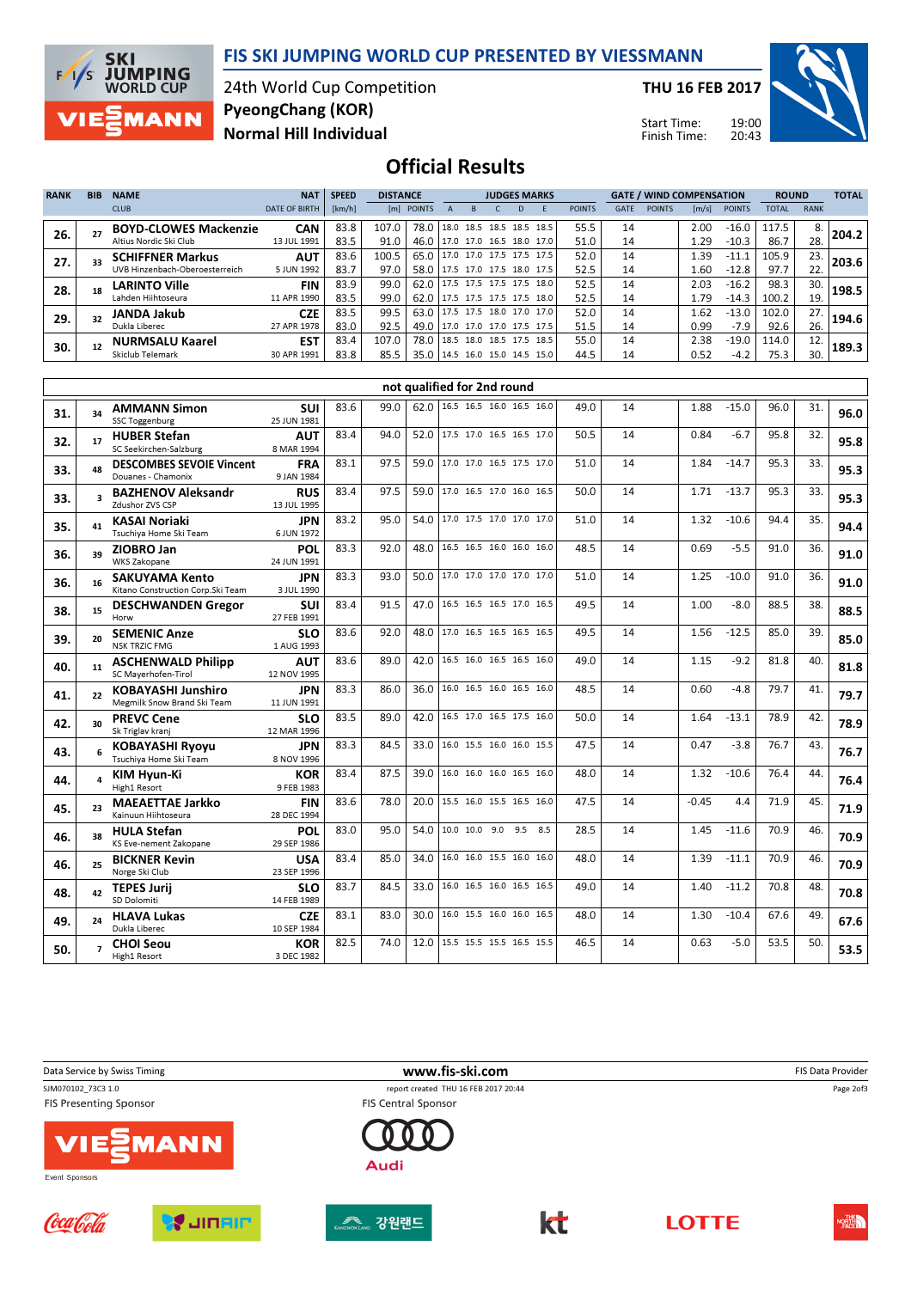

# 24th World Cup Competition PyeongChang (KOR)

THU 16 FEB 2017

Start Time: Finish Time:



## Normal Hill Individual

**F/I/S SKI<br>EXAMPING**<br>WORLD CUP

MANN

Official Results

| <b>RANK</b> | <b>BIB</b> | <b>NAME</b>                    | <b>NAT</b>           | <b>SPEED</b> | <b>DISTANCE</b> |            |             |           | <b>JUDGES MARKS</b>      |                                      |               |      |               | <b>GATE / WIND COMPENSATION</b> |               | <b>ROUND</b> |             | <b>TOTAL</b> |
|-------------|------------|--------------------------------|----------------------|--------------|-----------------|------------|-------------|-----------|--------------------------|--------------------------------------|---------------|------|---------------|---------------------------------|---------------|--------------|-------------|--------------|
|             |            | <b>CLUB</b>                    | <b>DATE OF BIRTH</b> | [km/h]       |                 | [m] POINTS |             | R         |                          |                                      | <b>POINTS</b> | GATE | <b>POINTS</b> | $\lfloor m/s \rfloor$           | <b>POINTS</b> | <b>TOTAL</b> | <b>RANK</b> |              |
| 26.         |            | <b>BOYD-CLOWES Mackenzie</b>   | <b>CAN</b>           | 83.8         | 107.0           | 78.0       | $18.0$ 18.5 |           | 18.5 18.5                | 18.5                                 | 55.5          | 14   |               | 2.00                            | $-16.0$       | 117.5        | 8.          | 204.2        |
|             |            | Altius Nordic Ski Club         | 13 JUL 1991          | 83.5         | 91.0            | 46.0       |             |           | 117.0 17.0 16.5 18.0     | 17.0                                 | 51.0          | 14   |               | 1.29                            | $-10.3$       | 86.7         | 28.         |              |
| 27.         |            | <b>SCHIFFNER Markus</b>        | <b>AUT</b>           | 83.6         | 100.5           | 65.0       |             |           |                          | 117.0 17.0 17.5 17.5 17.5            | 52.0          | 14   |               | .39                             | $-11.1$       | 105.9        | 23.         | 203.6        |
|             |            | UVB Hinzenbach-Oberoesterreich | 5 JUN 1992           | 83.7         | 97.0            | 58.0       |             |           | 17.5 17.0 17.5 18.0 17.5 |                                      | 52.5          | 14   |               | 1.60                            | $-12.8$       | 97.7         | 22.         |              |
| 28.         |            | <b>LARINTO Ville</b>           | <b>FIN</b>           | 83.9         | 99.0            | 62.0       |             |           | 17.5 17.5 17.5 17.5      | 18.0                                 | 52.5          | 14   |               | 2.03                            | $-16.2$       | 98.3         | 30.         | 198.5        |
|             |            | Lahden Hiihtoseura             | 11 APR 1990          | 83.5         | 99.0            | 62.0       |             |           | 117.5 17.5 17.5 17.5     | 18.0                                 | 52.5          | 14   |               | 1.79                            | $-14.3$       | 100.2        | 19.         |              |
| 29.         |            | <b>JANDA Jakub</b>             | <b>CZE</b>           | 83.5         | 99.5            | 63.0       |             |           |                          | $ 17.5 \t17.5 \t18.0 \t17.0 \t17.0 $ | 52.0          | 14   |               | .62                             | $-13.0$       | 102.0        | 27.         | 194.6        |
|             |            | Dukla Liberec                  | 27 APR 1978          | 83.0         | 92.5            | 49.0       |             |           | 17.0 17.0 17.0 17.5 17.5 |                                      | 51.5          | 14   |               | 0.99                            | $-7.9$        | 92.6         | 26.         |              |
| 30.         |            | <b>NURMSALU Kaarel</b>         | <b>EST</b>           | 83.4         | 107.0           | 78.0       |             | 18.5 18.0 | 18.5 17.5                | 18.5                                 | 55.0          | 14   |               | 2.38                            | $-19.0$       | 114.0        | 12.         | 189.3        |
|             |            | Skiclub Telemark               | 30 APR 1991          | 83.8         | 85.5            | 35.0       |             |           | 14.5 16.0 15.0 14.5      | 15.0                                 | 44.5          | 14   |               | 0.52                            | $-4.2$        | 75.3         | 30.         |              |

|     |    |                                                             |                           |      |      |      | not qualified for 2nd round |     |      |    |         |         |      |     |      |
|-----|----|-------------------------------------------------------------|---------------------------|------|------|------|-----------------------------|-----|------|----|---------|---------|------|-----|------|
| 31. | 34 | <b>AMMANN Simon</b><br><b>SSC Toggenburg</b>                | SUI<br>25 JUN 1981        | 83.6 | 99.0 | 62.0 | 16.5 16.5 16.0 16.5 16.0    |     | 49.0 | 14 | 1.88    | $-15.0$ | 96.0 | 31. | 96.0 |
| 32. | 17 | <b>HUBER Stefan</b><br>SC Seekirchen-Salzburg               | <b>AUT</b><br>8 MAR 1994  | 83.4 | 94.0 | 52.0 | 17.5 17.0 16.5 16.5 17.0    |     | 50.5 | 14 | 0.84    | $-6.7$  | 95.8 | 32. | 95.8 |
| 33. | 48 | <b>DESCOMBES SEVOIE Vincent</b><br>Douanes - Chamonix       | <b>FRA</b><br>9 JAN 1984  | 83.1 | 97.5 | 59.0 | 17.0 17.0 16.5 17.5 17.0    |     | 51.0 | 14 | 1.84    | $-14.7$ | 95.3 | 33. | 95.3 |
| 33. |    | <b>BAZHENOV Aleksandr</b><br>Zdushor ZVS CSP                | <b>RUS</b><br>13 JUL 1995 | 83.4 | 97.5 | 59.0 | 17.0 16.5 17.0 16.0 16.5    |     | 50.0 | 14 | 1.71    | $-13.7$ | 95.3 | 33. | 95.3 |
| 35. | 41 | <b>KASAI Noriaki</b><br>Tsuchiya Home Ski Team              | <b>JPN</b><br>6 JUN 1972  | 83.2 | 95.0 | 54.0 | 17.0 17.5 17.0 17.0 17.0    |     | 51.0 | 14 | 1.32    | $-10.6$ | 94.4 | 35. | 94.4 |
| 36. | 39 | ZIOBRO Jan<br><b>WKS Zakopane</b>                           | POL<br>24 JUN 1991        | 83.3 | 92.0 | 48.0 | 16.5 16.5 16.0 16.0 16.0    |     | 48.5 | 14 | 0.69    | $-5.5$  | 91.0 | 36. | 91.0 |
| 36. | 16 | <b>SAKUYAMA Kento</b><br>Kitano Construction Corp. Ski Team | <b>JPN</b><br>3 JUL 1990  | 83.3 | 93.0 | 50.0 | 17.0 17.0 17.0 17.0 17.0    |     | 51.0 | 14 | 1.25    | $-10.0$ | 91.0 | 36. | 91.0 |
| 38. | 15 | <b>DESCHWANDEN Gregor</b><br>Horw                           | suı<br>27 FEB 1991        | 83.4 | 91.5 | 47.0 | 16.5 16.5 16.5 17.0 16.5    |     | 49.5 | 14 | 1.00    | $-8.0$  | 88.5 | 38. | 88.5 |
| 39. | 20 | <b>SEMENIC Anze</b><br><b>NSK TRZIC FMG</b>                 | <b>SLO</b><br>1 AUG 1993  | 83.6 | 92.0 | 48.0 | 17.0 16.5 16.5 16.5 16.5    |     | 49.5 | 14 | 1.56    | $-12.5$ | 85.0 | 39. | 85.0 |
| 40. | 11 | <b>ASCHENWALD Philipp</b><br>SC Mayerhofen-Tirol            | <b>AUT</b><br>12 NOV 1995 | 83.6 | 89.0 | 42.0 | 16.5 16.0 16.5 16.5 16.0    |     | 49.0 | 14 | 1.15    | $-9.2$  | 81.8 | 40. | 81.8 |
| 41. | 22 | <b>KOBAYASHI Junshiro</b><br>Megmilk Snow Brand Ski Team    | <b>JPN</b><br>11 JUN 1991 | 83.3 | 86.0 | 36.0 | 16.0 16.5 16.0 16.5 16.0    |     | 48.5 | 14 | 0.60    | $-4.8$  | 79.7 | 41. | 79.7 |
| 42. | 30 | <b>PREVC Cene</b><br>Sk Triglav kranj                       | SLO<br>12 MAR 1996        | 83.5 | 89.0 | 42.0 | 16.5 17.0 16.5 17.5 16.0    |     | 50.0 | 14 | 1.64    | $-13.1$ | 78.9 | 42. | 78.9 |
| 43. | 6  | <b>KOBAYASHI Ryoyu</b><br>Tsuchiya Home Ski Team            | <b>JPN</b><br>8 NOV 1996  | 83.3 | 84.5 | 33.0 | 16.0 15.5 16.0 16.0 15.5    |     | 47.5 | 14 | 0.47    | $-3.8$  | 76.7 | 43. | 76.7 |
| 44. |    | <b>KIM Hyun-Ki</b><br>High1 Resort                          | <b>KOR</b><br>9 FEB 1983  | 83.4 | 87.5 | 39.0 | 16.0 16.0 16.0 16.5 16.0    |     | 48.0 | 14 | 1.32    | $-10.6$ | 76.4 | 44. | 76.4 |
| 45. | 23 | <b>MAEAETTAE Jarkko</b><br>Kainuun Hiihtoseura              | <b>FIN</b><br>28 DEC 1994 | 83.6 | 78.0 | 20.0 | 15.5 16.0 15.5 16.5 16.0    |     | 47.5 | 14 | $-0.45$ | 4.4     | 71.9 | 45. | 71.9 |
| 46. | 38 | <b>HULA Stefan</b><br>KS Eve-nement Zakopane                | <b>POL</b><br>29 SEP 1986 | 83.0 | 95.0 | 54.0 | 10.0 10.0 9.0 9.5           | 8.5 | 28.5 | 14 | 1.45    | $-11.6$ | 70.9 | 46. | 70.9 |
| 46. | 25 | <b>BICKNER Kevin</b><br>Norge Ski Club                      | USA<br>23 SEP 1996        | 83.4 | 85.0 | 34.0 | 16.0 16.0 15.5 16.0 16.0    |     | 48.0 | 14 | 1.39    | $-11.1$ | 70.9 | 46. | 70.9 |
| 48. | 42 | <b>TEPES Jurii</b><br>SD Dolomiti                           | <b>SLO</b><br>14 FEB 1989 | 83.7 | 84.5 | 33.0 | 16.0 16.5 16.0 16.5 16.5    |     | 49.0 | 14 | 1.40    | $-11.2$ | 70.8 | 48. | 70.8 |
| 49. | 24 | <b>HLAVA Lukas</b><br>Dukla Liberec                         | <b>CZE</b><br>10 SEP 1984 | 83.1 | 83.0 | 30.0 | 16.0 15.5 16.0 16.0 16.5    |     | 48.0 | 14 | 1.30    | $-10.4$ | 67.6 | 49. | 67.6 |
| 50. |    | <b>CHOI Seou</b><br>High1 Resort                            | <b>KOR</b><br>3 DEC 1982  | 82.5 | 74.0 | 12.0 | 15.5 15.5 15.5 16.5 15.5    |     | 46.5 | 14 | 0.63    | $-5.0$  | 53.5 | 50. | 53.5 |